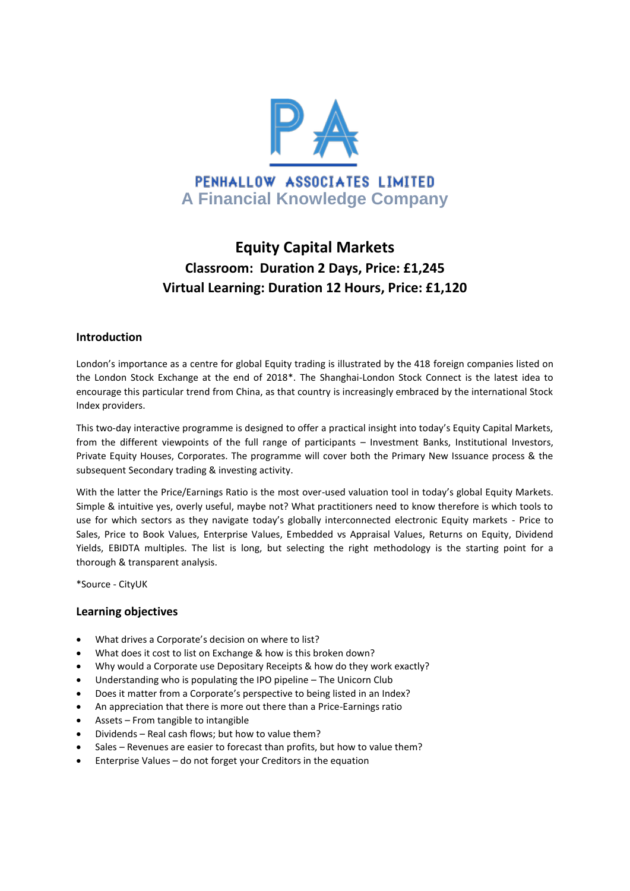

# **Equity Capital Markets Classroom: Duration 2 Days, Price: £1,245 Virtual Learning: Duration 12 Hours, Price: £1,120**

#### **Introduction**

London's importance as a centre for global Equity trading is illustrated by the 418 foreign companies listed on the London Stock Exchange at the end of 2018\*. The Shanghai-London Stock Connect is the latest idea to encourage this particular trend from China, as that country is increasingly embraced by the international Stock Index providers.

This two-day interactive programme is designed to offer a practical insight into today's Equity Capital Markets, from the different viewpoints of the full range of participants – Investment Banks, Institutional Investors, Private Equity Houses, Corporates. The programme will cover both the Primary New Issuance process & the subsequent Secondary trading & investing activity.

With the latter the Price/Earnings Ratio is the most over-used valuation tool in today's global Equity Markets. Simple & intuitive yes, overly useful, maybe not? What practitioners need to know therefore is which tools to use for which sectors as they navigate today's globally interconnected electronic Equity markets - Price to Sales, Price to Book Values, Enterprise Values, Embedded vs Appraisal Values, Returns on Equity, Dividend Yields, EBIDTA multiples. The list is long, but selecting the right methodology is the starting point for a thorough & transparent analysis.

\*Source - CityUK

#### **Learning objectives**

- What drives a Corporate's decision on where to list?
- What does it cost to list on Exchange & how is this broken down?
- Why would a Corporate use Depositary Receipts & how do they work exactly?
- Understanding who is populating the IPO pipeline The Unicorn Club
- Does it matter from a Corporate's perspective to being listed in an Index?
- An appreciation that there is more out there than a Price-Earnings ratio
- Assets From tangible to intangible
- Dividends Real cash flows; but how to value them?
- Sales Revenues are easier to forecast than profits, but how to value them?
- Enterprise Values do not forget your Creditors in the equation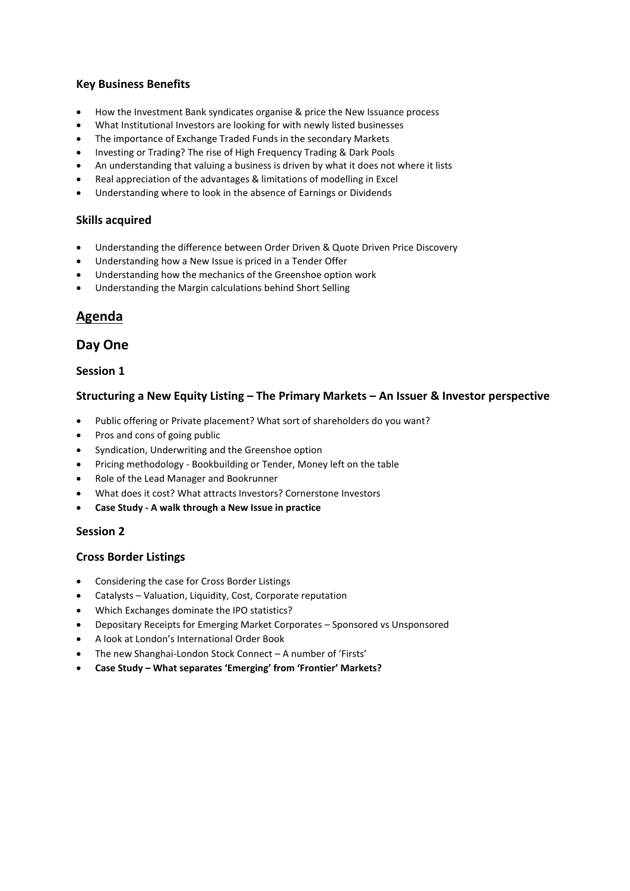# **Key Business Benefits**

- How the Investment Bank syndicates organise & price the New Issuance process
- What Institutional Investors are looking for with newly listed businesses
- The importance of Exchange Traded Funds in the secondary Markets
- Investing or Trading? The rise of High Frequency Trading & Dark Pools
- An understanding that valuing a business is driven by what it does not where it lists
- Real appreciation of the advantages & limitations of modelling in Excel
- Understanding where to look in the absence of Earnings or Dividends

#### **Skills acquired**

- Understanding the difference between Order Driven & Quote Driven Price Discovery
- Understanding how a New Issue is priced in a Tender Offer
- Understanding how the mechanics of the Greenshoe option work
- Understanding the Margin calculations behind Short Selling

# **Agenda**

# **Day One**

#### **Session 1**

#### **Structuring a New Equity Listing – The Primary Markets – An Issuer & Investor perspective**

- Public offering or Private placement? What sort of shareholders do you want?
- Pros and cons of going public
- Syndication, Underwriting and the Greenshoe option
- Pricing methodology Bookbuilding or Tender, Money left on the table
- Role of the Lead Manager and Bookrunner
- What does it cost? What attracts Investors? Cornerstone Investors
- **Case Study - A walk through a New Issue in practice**

#### **Session 2**

#### **Cross Border Listings**

- Considering the case for Cross Border Listings
- Catalysts Valuation, Liquidity, Cost, Corporate reputation
- Which Exchanges dominate the IPO statistics?
- Depositary Receipts for Emerging Market Corporates Sponsored vs Unsponsored
- A look at London's International Order Book
- The new Shanghai-London Stock Connect A number of 'Firsts'
- **Case Study – What separates 'Emerging' from 'Frontier' Markets?**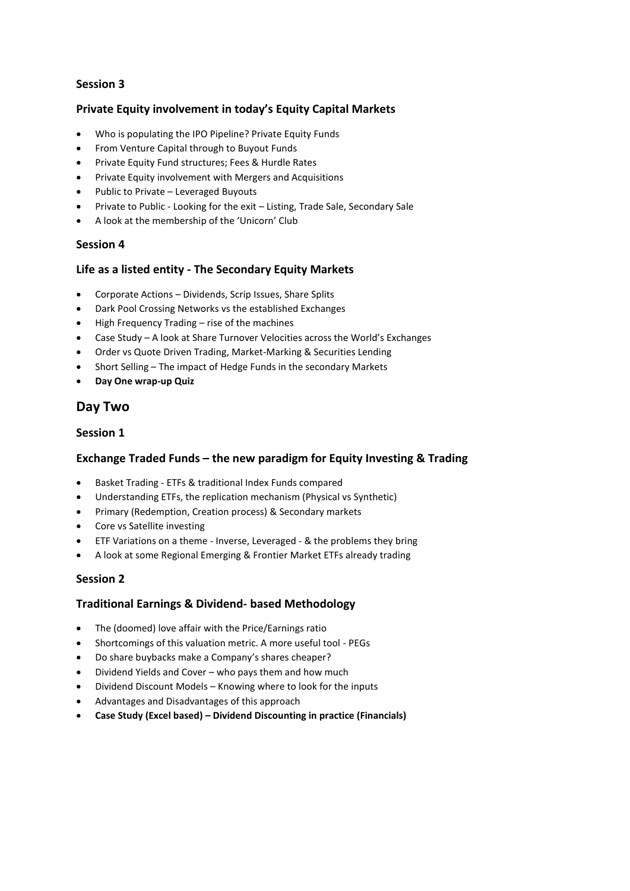# **Session 3**

# **Private Equity involvement in today's Equity Capital Markets**

- Who is populating the IPO Pipeline? Private Equity Funds
- From Venture Capital through to Buyout Funds
- Private Equity Fund structures; Fees & Hurdle Rates
- Private Equity involvement with Mergers and Acquisitions
- Public to Private Leveraged Buyouts
- Private to Public Looking for the exit Listing, Trade Sale, Secondary Sale
- A look at the membership of the 'Unicorn' Club

#### **Session 4**

# **Life as a listed entity - The Secondary Equity Markets**

- Corporate Actions Dividends, Scrip Issues, Share Splits
- Dark Pool Crossing Networks vs the established Exchanges
- High Frequency Trading rise of the machines
- Case Study A look at Share Turnover Velocities across the World's Exchanges
- Order vs Quote Driven Trading, Market-Marking & Securities Lending
- Short Selling The impact of Hedge Funds in the secondary Markets
- **Day One wrap-up Quiz**

# **Day Two**

# **Session 1**

# **Exchange Traded Funds – the new paradigm for Equity Investing & Trading**

- Basket Trading ETFs & traditional Index Funds compared
- Understanding ETFs, the replication mechanism (Physical vs Synthetic)
- Primary (Redemption, Creation process) & Secondary markets
- Core vs Satellite investing
- ETF Variations on a theme Inverse, Leveraged & the problems they bring
- A look at some Regional Emerging & Frontier Market ETFs already trading

# **Session 2**

# **Traditional Earnings & Dividend- based Methodology**

- The (doomed) love affair with the Price/Earnings ratio
- Shortcomings of this valuation metric. A more useful tool PEGs
- Do share buybacks make a Company's shares cheaper?
- Dividend Yields and Cover who pays them and how much
- Dividend Discount Models Knowing where to look for the inputs
- Advantages and Disadvantages of this approach
- **Case Study (Excel based) – Dividend Discounting in practice (Financials)**